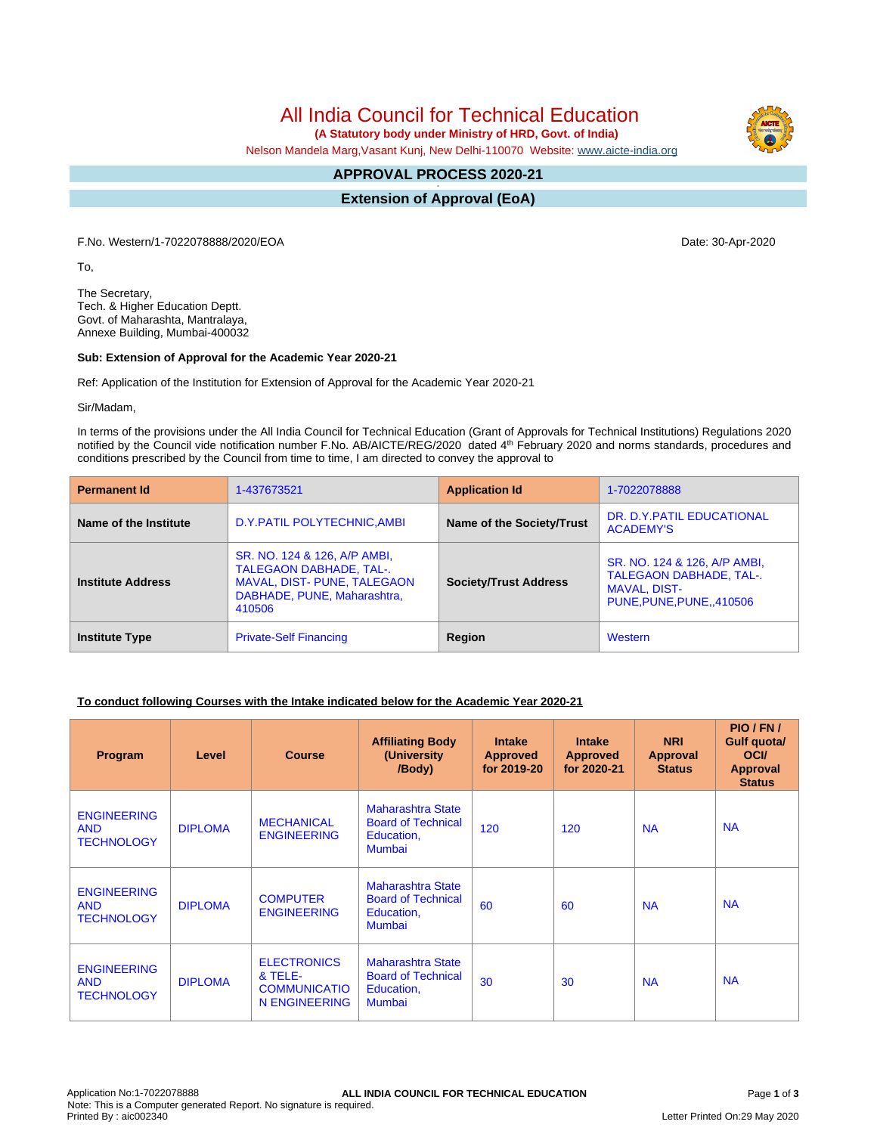# All India Council for Technical Education

 **(A Statutory body under Ministry of HRD, Govt. of India)**

Nelson Mandela Marg,Vasant Kunj, New Delhi-110070 Website: [www.aicte-india.org](http://www.aicte-india.org)

#### **APPROVAL PROCESS 2020-21 -**

**Extension of Approval (EoA)**

F.No. Western/1-7022078888/2020/EOA Date: 30-Apr-2020

To,

The Secretary, Tech. & Higher Education Deptt. Govt. of Maharashta, Mantralaya, Annexe Building, Mumbai-400032

#### **Sub: Extension of Approval for the Academic Year 2020-21**

Ref: Application of the Institution for Extension of Approval for the Academic Year 2020-21

Sir/Madam,

In terms of the provisions under the All India Council for Technical Education (Grant of Approvals for Technical Institutions) Regulations 2020 notified by the Council vide notification number F.No. AB/AICTE/REG/2020 dated 4<sup>th</sup> February 2020 and norms standards, procedures and conditions prescribed by the Council from time to time, I am directed to convey the approval to

| <b>Permanent Id</b>      | 1-437673521                                                                                                                            | <b>Application Id</b>        | 1-7022078888                                                                                                      |  |
|--------------------------|----------------------------------------------------------------------------------------------------------------------------------------|------------------------------|-------------------------------------------------------------------------------------------------------------------|--|
| Name of the Institute    | D.Y. PATIL POLYTECHNIC, AMBI                                                                                                           | Name of the Society/Trust    | DR. D.Y. PATIL EDUCATIONAL<br><b>ACADEMY'S</b>                                                                    |  |
| <b>Institute Address</b> | SR. NO. 124 & 126, A/P AMBI,<br><b>TALEGAON DABHADE, TAL-.</b><br>MAVAL, DIST- PUNE, TALEGAON<br>DABHADE, PUNE, Maharashtra,<br>410506 | <b>Society/Trust Address</b> | SR. NO. 124 & 126, A/P AMBI,<br><b>TALEGAON DABHADE, TAL-.</b><br><b>MAVAL, DIST-</b><br>PUNE, PUNE, PUNE, 410506 |  |
| <b>Institute Type</b>    | <b>Private-Self Financing</b>                                                                                                          | Region                       | Western                                                                                                           |  |

#### **To conduct following Courses with the Intake indicated below for the Academic Year 2020-21**

| Program                                               | Level          | <b>Course</b>                                                         | <b>Affiliating Body</b><br>(University)<br>/Body)                                    | <b>Intake</b><br><b>Approved</b><br>for 2019-20 | <b>Intake</b><br><b>Approved</b><br>for 2020-21 | <b>NRI</b><br>Approval<br><b>Status</b> | PIO / FN /<br>Gulf quota/<br><b>OCI</b><br><b>Approval</b><br><b>Status</b> |
|-------------------------------------------------------|----------------|-----------------------------------------------------------------------|--------------------------------------------------------------------------------------|-------------------------------------------------|-------------------------------------------------|-----------------------------------------|-----------------------------------------------------------------------------|
| <b>ENGINEERING</b><br><b>AND</b><br><b>TECHNOLOGY</b> | <b>DIPLOMA</b> | <b>MECHANICAL</b><br><b>ENGINEERING</b>                               | Maharashtra State<br><b>Board of Technical</b><br>Education,<br>Mumbai               | 120                                             | 120                                             | <b>NA</b>                               | <b>NA</b>                                                                   |
| <b>ENGINEERING</b><br><b>AND</b><br><b>TECHNOLOGY</b> | <b>DIPLOMA</b> | <b>COMPUTER</b><br><b>ENGINEERING</b>                                 | <b>Maharashtra State</b><br><b>Board of Technical</b><br>Education,<br><b>Mumbai</b> | 60                                              | 60                                              | <b>NA</b>                               | <b>NA</b>                                                                   |
| <b>ENGINEERING</b><br><b>AND</b><br><b>TECHNOLOGY</b> | <b>DIPLOMA</b> | <b>ELECTRONICS</b><br>& TELE-<br><b>COMMUNICATIO</b><br>N ENGINEERING | Maharashtra State<br><b>Board of Technical</b><br>Education,<br><b>Mumbai</b>        | 30                                              | 30                                              | <b>NA</b>                               | <b>NA</b>                                                                   |

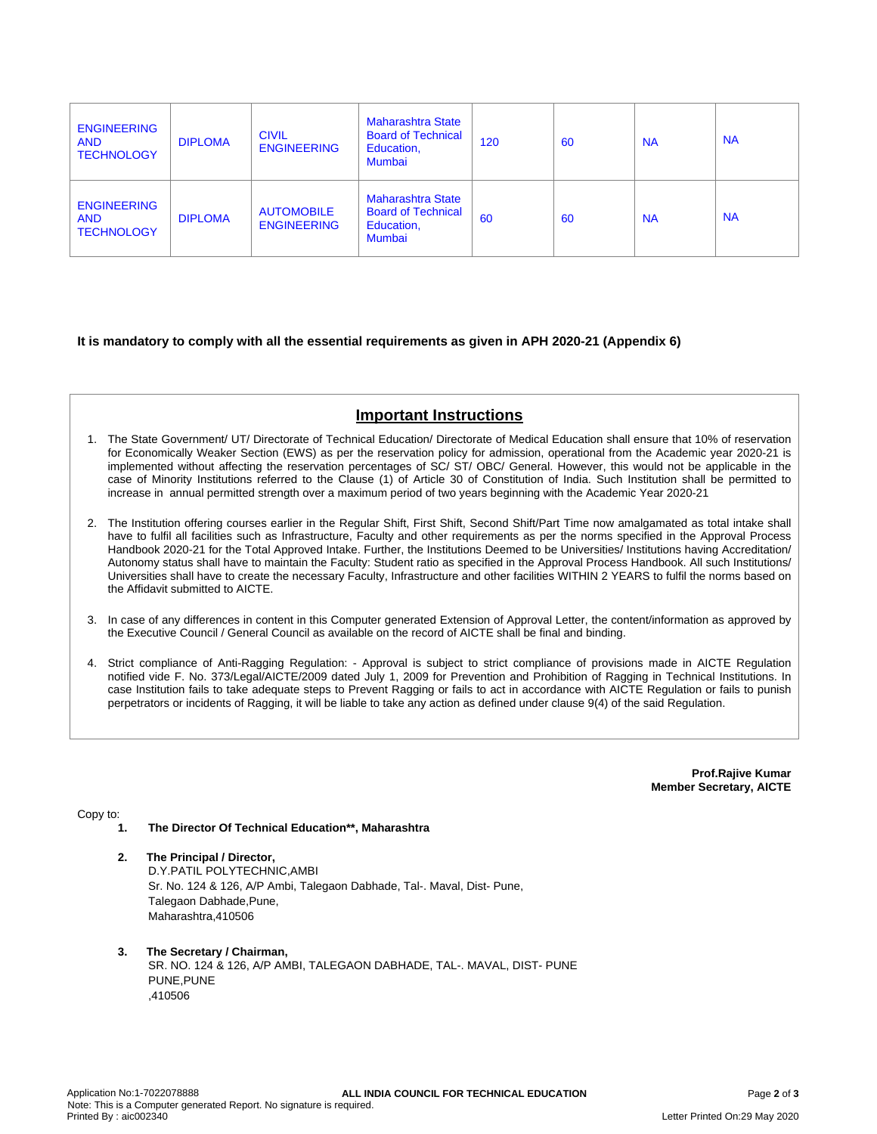| <b>ENGINEERING</b><br><b>AND</b><br><b>TECHNOLOGY</b> | <b>DIPLOMA</b> | <b>CIVIL</b><br><b>ENGINEERING</b>      | <b>Maharashtra State</b><br><b>Board of Technical</b><br>Education,<br><b>Mumbai</b> | 120 | 60 | <b>NA</b> | <b>NA</b> |
|-------------------------------------------------------|----------------|-----------------------------------------|--------------------------------------------------------------------------------------|-----|----|-----------|-----------|
| <b>ENGINEERING</b><br><b>AND</b><br><b>TECHNOLOGY</b> | <b>DIPLOMA</b> | <b>AUTOMOBILE</b><br><b>ENGINEERING</b> | <b>Maharashtra State</b><br><b>Board of Technical</b><br>Education,<br><b>Mumbai</b> | 60  | 60 | <b>NA</b> | <b>NA</b> |

#### **It is mandatory to comply with all the essential requirements as given in APH 2020-21 (Appendix 6)**

## **Important Instructions**

- 1. The State Government/ UT/ Directorate of Technical Education/ Directorate of Medical Education shall ensure that 10% of reservation for Economically Weaker Section (EWS) as per the reservation policy for admission, operational from the Academic year 2020-21 is implemented without affecting the reservation percentages of SC/ ST/ OBC/ General. However, this would not be applicable in the case of Minority Institutions referred to the Clause (1) of Article 30 of Constitution of India. Such Institution shall be permitted to increase in annual permitted strength over a maximum period of two years beginning with the Academic Year 2020-21
- 2. The Institution offering courses earlier in the Regular Shift, First Shift, Second Shift/Part Time now amalgamated as total intake shall have to fulfil all facilities such as Infrastructure, Faculty and other requirements as per the norms specified in the Approval Process Handbook 2020-21 for the Total Approved Intake. Further, the Institutions Deemed to be Universities/ Institutions having Accreditation/ Autonomy status shall have to maintain the Faculty: Student ratio as specified in the Approval Process Handbook. All such Institutions/ Universities shall have to create the necessary Faculty, Infrastructure and other facilities WITHIN 2 YEARS to fulfil the norms based on the Affidavit submitted to AICTE.
- 3. In case of any differences in content in this Computer generated Extension of Approval Letter, the content/information as approved by the Executive Council / General Council as available on the record of AICTE shall be final and binding.
- 4. Strict compliance of Anti-Ragging Regulation: Approval is subject to strict compliance of provisions made in AICTE Regulation notified vide F. No. 373/Legal/AICTE/2009 dated July 1, 2009 for Prevention and Prohibition of Ragging in Technical Institutions. In case Institution fails to take adequate steps to Prevent Ragging or fails to act in accordance with AICTE Regulation or fails to punish perpetrators or incidents of Ragging, it will be liable to take any action as defined under clause 9(4) of the said Regulation.

**Prof.Rajive Kumar Member Secretary, AICTE**

Copy to:

- **1. The Director Of Technical Education\*\*, Maharashtra**
- **2. The Principal / Director,** D.Y.PATIL POLYTECHNIC,AMBI Sr. No. 124 & 126, A/P Ambi, Talegaon Dabhade, Tal-. Maval, Dist- Pune, Talegaon Dabhade,Pune, Maharashtra,410506
- **3. The Secretary / Chairman,** SR. NO. 124 & 126, A/P AMBI, TALEGAON DABHADE, TAL-. MAVAL, DIST- PUNE PUNE,PUNE ,410506